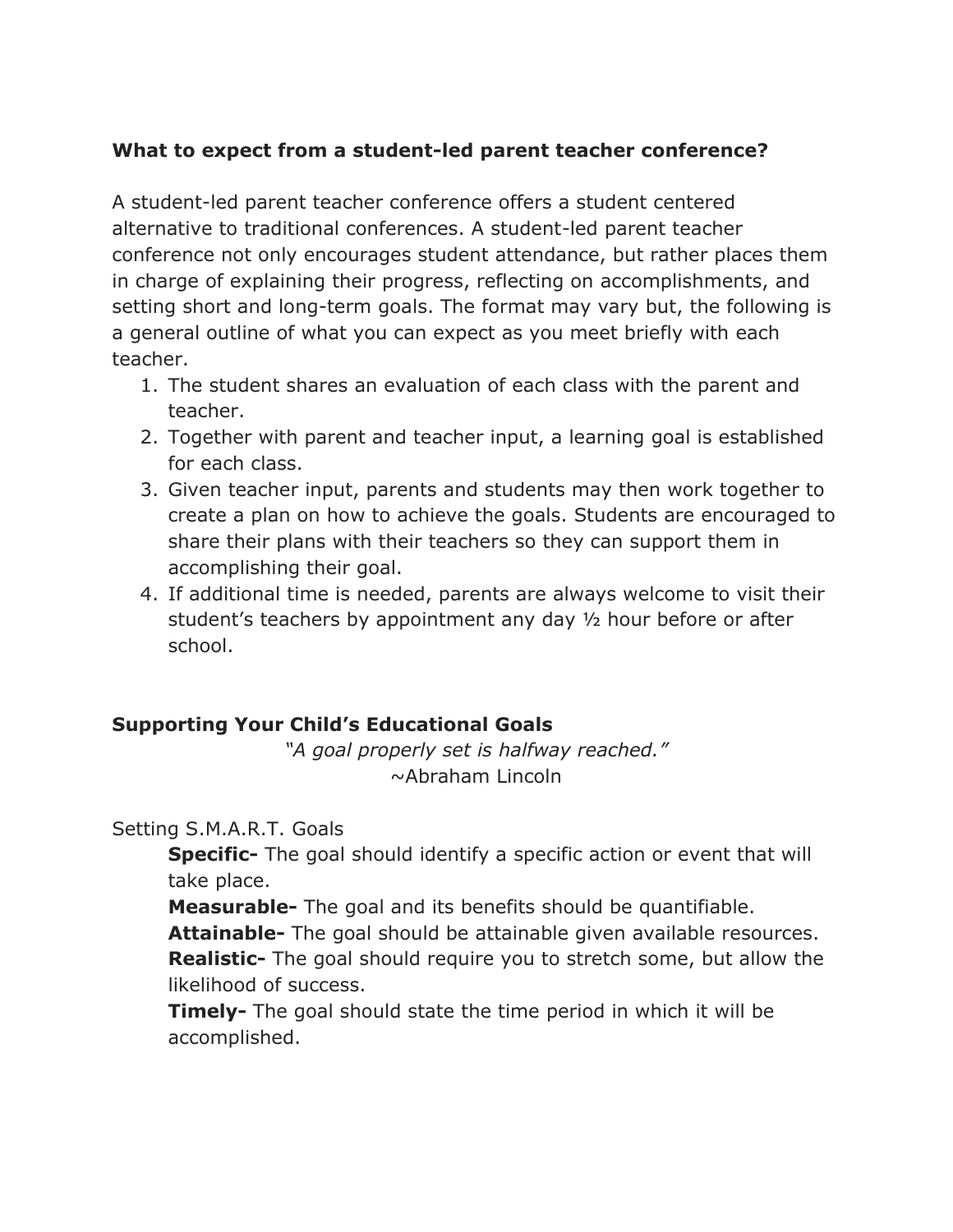## **What to expect from a student-led parent teacher conference?**

A student-led parent teacher conference offers a student centered alternative to traditional conferences. A student-led parent teacher conference not only encourages student attendance, but rather places them in charge of explaining their progress, reflecting on accomplishments, and setting short and long-term goals. The format may vary but, the following is a general outline of what you can expect as you meet briefly with each teacher.

- 1. The student shares an evaluation of each class with the parent and teacher.
- 2. Together with parent and teacher input, a learning goal is established for each class.
- 3. Given teacher input, parents and students may then work together to create a plan on how to achieve the goals. Students are encouraged to share their plans with their teachers so they can support them in accomplishing their goal.
- 4. If additional time is needed, parents are always welcome to visit their student's teachers by appointment any day ½ hour before or after school.

### **Supporting Your Child's Educational Goals**

*"A goal properly set is halfway reached."*  ~Abraham Lincoln

#### Setting S.M.A.R.T. Goals

**Specific-** The goal should identify a specific action or event that will take place.

**Measurable-** The goal and its benefits should be quantifiable.

**Attainable-** The goal should be attainable given available resources. **Realistic-** The goal should require you to stretch some, but allow the likelihood of success.

**Timely-** The goal should state the time period in which it will be accomplished.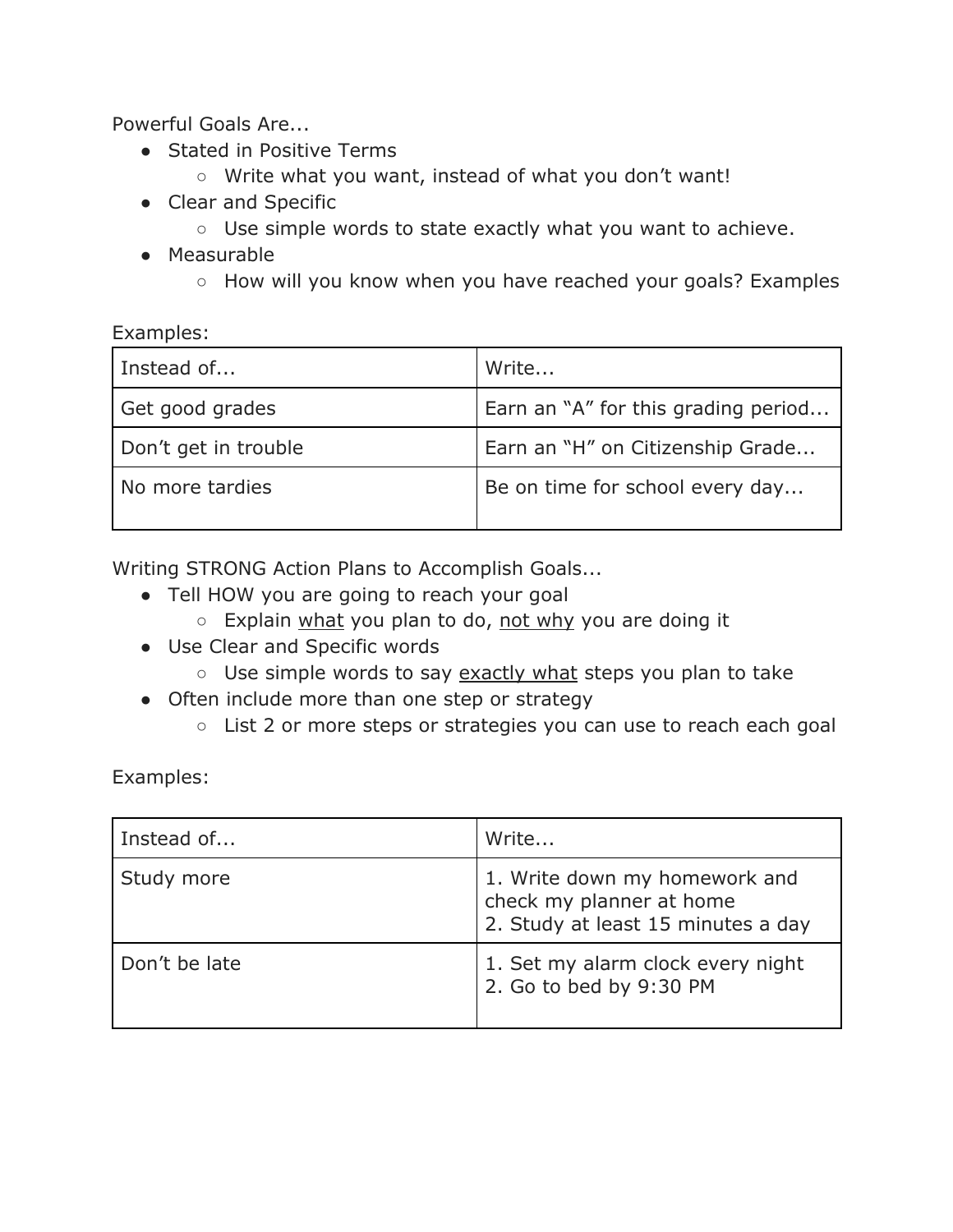Powerful Goals Are...

- Stated in Positive Terms
	- Write what you want, instead of what you don't want!
- Clear and Specific
	- Use simple words to state exactly what you want to achieve.
- Measurable
	- How will you know when you have reached your goals? Examples

#### Examples:

| Instead of           | Write                               |  |
|----------------------|-------------------------------------|--|
| Get good grades      | Earn an "A" for this grading period |  |
| Don't get in trouble | Earn an "H" on Citizenship Grade    |  |
| No more tardies      | Be on time for school every day     |  |

Writing STRONG Action Plans to Accomplish Goals...

- Tell HOW you are going to reach your goal
	- Explain what you plan to do, not why you are doing it
- Use Clear and Specific words
	- Use simple words to say exactly what steps you plan to take
- Often include more than one step or strategy
	- List 2 or more steps or strategies you can use to reach each goal

Examples:

| Instead of    | Write                                                                                           |
|---------------|-------------------------------------------------------------------------------------------------|
| Study more    | 1. Write down my homework and<br>check my planner at home<br>2. Study at least 15 minutes a day |
| Don't be late | 1. Set my alarm clock every night<br>2. Go to bed by 9:30 PM                                    |